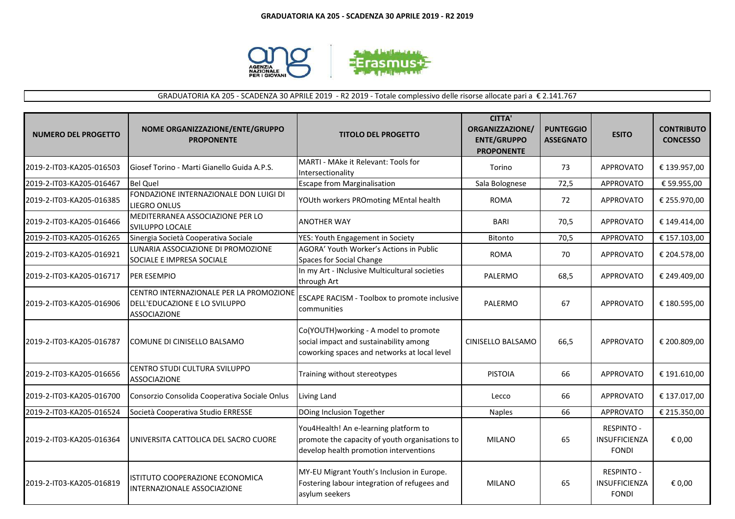

GRADUATORIA KA 205 - SCADENZA 30 APRILE 2019 - R2 2019 - Totale complessivo delle risorse allocate pari a € 2.141.767

| <b>NUMERO DEL PROGETTO</b> | NOME ORGANIZZAZIONE/ENTE/GRUPPO<br><b>PROPONENTE</b>                                            | <b>TITOLO DEL PROGETTO</b>                                                                                                        | <b>CITTA'</b><br>ORGANIZZAZIONE/<br><b>ENTE/GRUPPO</b><br><b>PROPONENTE</b> | <b>PUNTEGGIO</b><br><b>ASSEGNATO</b> | <b>ESITO</b>                                       | <b>CONTRIBUTO</b><br><b>CONCESSO</b> |
|----------------------------|-------------------------------------------------------------------------------------------------|-----------------------------------------------------------------------------------------------------------------------------------|-----------------------------------------------------------------------------|--------------------------------------|----------------------------------------------------|--------------------------------------|
| 2019-2-IT03-KA205-016503   | <b>I</b> Giosef Torino - Marti Gianello Guida A.P.S.                                            | MARTI - MAke it Relevant: Tools for<br>Intersectionality                                                                          | Torino                                                                      | 73                                   | <b>APPROVATO</b>                                   | € 139.957,00                         |
| 2019-2-IT03-KA205-016467   | <b>Bel Quel</b>                                                                                 | <b>Escape from Marginalisation</b>                                                                                                | Sala Bolognese                                                              | 72,5                                 | <b>APPROVATO</b>                                   | € 59.955,00                          |
| 2019-2-IT03-KA205-016385   | FONDAZIONE INTERNAZIONALE DON LUIGI DI<br>LIEGRO ONLUS                                          | YOUth workers PROmoting MEntal health                                                                                             | <b>ROMA</b>                                                                 | 72                                   | APPROVATO                                          | € 255.970,00                         |
| 2019-2-IT03-KA205-016466   | MEDITERRANEA ASSOCIAZIONE PER LO<br><b>SVILUPPO LOCALE</b>                                      | <b>ANOTHER WAY</b>                                                                                                                | <b>BARI</b>                                                                 | 70,5                                 | APPROVATO                                          | € 149.414,00                         |
| 2019-2-IT03-KA205-016265   | Sinergia Società Cooperativa Sociale                                                            | YES: Youth Engagement in Society                                                                                                  | <b>Bitonto</b>                                                              | 70,5                                 | APPROVATO                                          | € 157.103,00                         |
| 2019-2-IT03-KA205-016921   | LUNARIA ASSOCIAZIONE DI PROMOZIONE<br>SOCIALE E IMPRESA SOCIALE                                 | AGORA' Youth Worker's Actions in Public<br>Spaces for Social Change                                                               | <b>ROMA</b>                                                                 | 70                                   | <b>APPROVATO</b>                                   | € 204.578,00                         |
| 2019-2-IT03-KA205-016717   | <b>PER ESEMPIO</b>                                                                              | In my Art - INclusive Multicultural societies<br>through Art                                                                      | PALERMO                                                                     | 68,5                                 | <b>APPROVATO</b>                                   | € 249.409,00                         |
| 2019-2-IT03-KA205-016906   | CENTRO INTERNAZIONALE PER LA PROMOZIONE<br>DELL'EDUCAZIONE E LO SVILUPPO<br><b>ASSOCIAZIONE</b> | <b>ESCAPE RACISM - Toolbox to promote inclusive</b><br>communities                                                                | PALERMO                                                                     | 67                                   | <b>APPROVATO</b>                                   | € 180.595,00                         |
| 2019-2-IT03-KA205-016787   | COMUNE DI CINISELLO BALSAMO                                                                     | Co(YOUTH) working - A model to promote<br>social impact and sustainability among<br>coworking spaces and networks at local level  | CINISELLO BALSAMO                                                           | 66,5                                 | <b>APPROVATO</b>                                   | € 200.809,00                         |
| 2019-2-IT03-KA205-016656   | CENTRO STUDI CULTURA SVILUPPO<br><b>ASSOCIAZIONE</b>                                            | Training without stereotypes                                                                                                      | <b>PISTOIA</b>                                                              | 66                                   | <b>APPROVATO</b>                                   | € 191.610,00                         |
| 2019-2-IT03-KA205-016700   | Consorzio Consolida Cooperativa Sociale Onlus                                                   | Living Land                                                                                                                       | Lecco                                                                       | 66                                   | <b>APPROVATO</b>                                   | € 137.017,00                         |
| 2019-2-IT03-KA205-016524   | Società Cooperativa Studio ERRESSE                                                              | DOing Inclusion Together                                                                                                          | <b>Naples</b>                                                               | 66                                   | APPROVATO                                          | € 215.350,00                         |
| 2019-2-IT03-KA205-016364   | UNIVERSITA CATTOLICA DEL SACRO CUORE                                                            | You4Health! An e-learning platform to<br>promote the capacity of youth organisations to<br>develop health promotion interventions | <b>MILANO</b>                                                               | 65                                   | <b>RESPINTO -</b><br>INSUFFICIENZA<br><b>FONDI</b> | € 0,00                               |
| 2019-2-IT03-KA205-016819   | ISTITUTO COOPERAZIONE ECONOMICA<br>INTERNAZIONALE ASSOCIAZIONE                                  | MY-EU Migrant Youth's Inclusion in Europe.<br>Fostering labour integration of refugees and<br>asylum seekers                      | <b>MILANO</b>                                                               | 65                                   | <b>RESPINTO -</b><br>INSUFFICIENZA<br><b>FONDI</b> | € 0,00                               |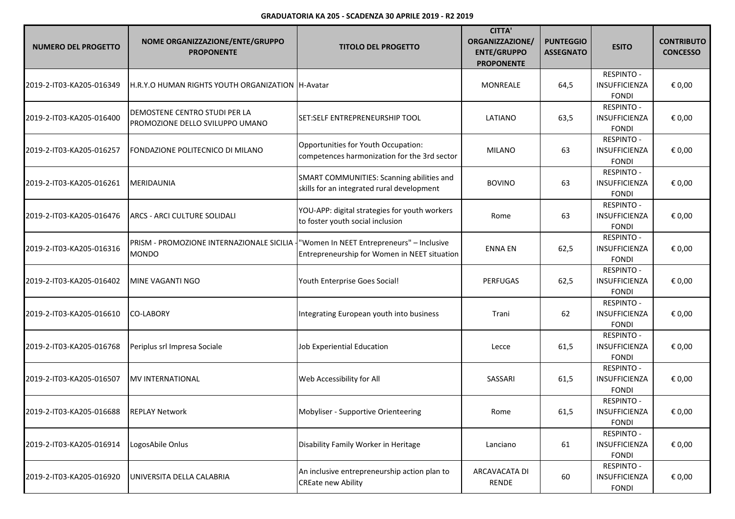| <b>NUMERO DEL PROGETTO</b> | NOME ORGANIZZAZIONE/ENTE/GRUPPO<br><b>PROPONENTE</b>                                                  | <b>TITOLO DEL PROGETTO</b>                                                              | <b>CITTA'</b><br>ORGANIZZAZIONE/<br><b>ENTE/GRUPPO</b><br><b>PROPONENTE</b> | <b>PUNTEGGIO</b><br><b>ASSEGNATO</b> | <b>ESITO</b>                                              | <b>CONTRIBUTO</b><br><b>CONCESSO</b> |
|----------------------------|-------------------------------------------------------------------------------------------------------|-----------------------------------------------------------------------------------------|-----------------------------------------------------------------------------|--------------------------------------|-----------------------------------------------------------|--------------------------------------|
| 2019-2-IT03-KA205-016349   | H.R.Y.O HUMAN RIGHTS YOUTH ORGANIZATION TH-Avatar                                                     |                                                                                         | MONREALE                                                                    | 64,5                                 | <b>RESPINTO -</b><br><b>INSUFFICIENZA</b><br><b>FONDI</b> | € 0,00                               |
| 2019-2-IT03-KA205-016400   | DEMOSTENE CENTRO STUDI PER LA<br>PROMOZIONE DELLO SVILUPPO UMANO                                      | ISET:SELF ENTREPRENEURSHIP TOOL                                                         | LATIANO                                                                     | 63,5                                 | <b>RESPINTO -</b><br><b>INSUFFICIENZA</b><br><b>FONDI</b> | € 0,00                               |
| 2019-2-IT03-KA205-016257   | FONDAZIONE POLITECNICO DI MILANO                                                                      | Opportunities for Youth Occupation:<br>competences harmonization for the 3rd sector     | <b>MILANO</b>                                                               | 63                                   | <b>RESPINTO -</b><br>INSUFFICIENZA<br><b>FONDI</b>        | € 0,00                               |
| 2019-2-IT03-KA205-016261   | <b>MERIDAUNIA</b>                                                                                     | SMART COMMUNITIES: Scanning abilities and<br>skills for an integrated rural development | <b>BOVINO</b>                                                               | 63                                   | <b>RESPINTO -</b><br>INSUFFICIENZA<br><b>FONDI</b>        | € 0,00                               |
| 2019-2-IT03-KA205-016476   | <b>ARCS - ARCI CULTURE SOLIDALI</b>                                                                   | YOU-APP: digital strategies for youth workers<br>to foster youth social inclusion       | Rome                                                                        | 63                                   | <b>RESPINTO -</b><br>INSUFFICIENZA<br><b>FONDI</b>        | € 0,00                               |
| 2019-2-IT03-KA205-016316   | PRISM - PROMOZIONE INTERNAZIONALE SICILIA - "Women In NEET Entrepreneurs" - Inclusive<br><b>MONDO</b> | Entrepreneurship for Women in NEET situation                                            | <b>ENNA EN</b>                                                              | 62,5                                 | <b>RESPINTO -</b><br>INSUFFICIENZA<br><b>FONDI</b>        | € 0,00                               |
| 2019-2-IT03-KA205-016402   | MINE VAGANTI NGO                                                                                      | Youth Enterprise Goes Social!                                                           | <b>PERFUGAS</b>                                                             | 62,5                                 | <b>RESPINTO -</b><br>INSUFFICIENZA<br><b>FONDI</b>        | € 0,00                               |
| 2019-2-IT03-KA205-016610   | <b>CO-LABORY</b>                                                                                      | Integrating European youth into business                                                | Trani                                                                       | 62                                   | <b>RESPINTO -</b><br>INSUFFICIENZA<br><b>FONDI</b>        | € 0,00                               |
| 2019-2-IT03-KA205-016768   | Periplus srl Impresa Sociale                                                                          | Job Experiential Education                                                              | Lecce                                                                       | 61,5                                 | <b>RESPINTO -</b><br>INSUFFICIENZA<br><b>FONDI</b>        | € 0,00                               |
| 2019-2-IT03-KA205-016507   | <b>MV INTERNATIONAL</b>                                                                               | Web Accessibility for All                                                               | SASSARI                                                                     | 61,5                                 | <b>RESPINTO -</b><br>INSUFFICIENZA<br><b>FONDI</b>        | € 0,00                               |
| 2019-2-IT03-KA205-016688   | <b>REPLAY Network</b>                                                                                 | Mobyliser - Supportive Orienteering                                                     | Rome                                                                        | 61,5                                 | RESPINTO -<br>INSUFFICIENZA<br><b>FONDI</b>               | € 0,00                               |
| 2019-2-IT03-KA205-016914   | LogosAbile Onlus                                                                                      | Disability Family Worker in Heritage                                                    | Lanciano                                                                    | 61                                   | <b>RESPINTO -</b><br>INSUFFICIENZA<br><b>FONDI</b>        | € 0,00                               |
| 2019-2-IT03-KA205-016920   | UNIVERSITA DELLA CALABRIA                                                                             | An inclusive entrepreneurship action plan to<br><b>CREate new Ability</b>               | ARCAVACATA DI<br>RENDE                                                      | 60                                   | <b>RESPINTO -</b><br>INSUFFICIENZA<br><b>FONDI</b>        | € 0,00                               |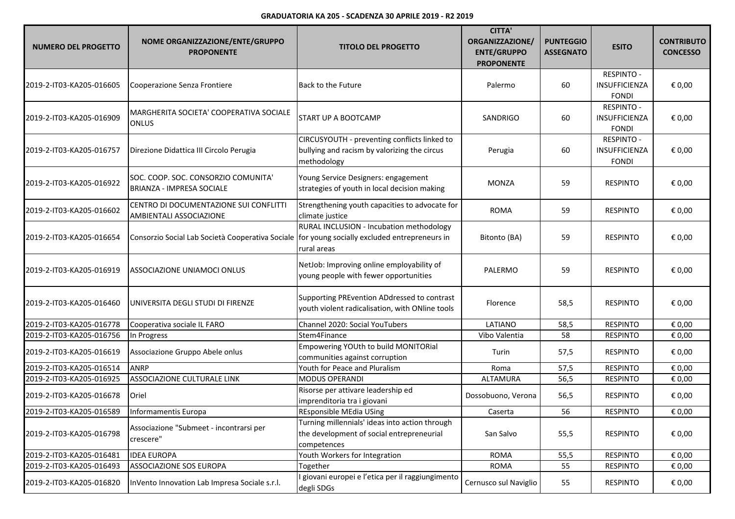| <b>NUMERO DEL PROGETTO</b> | NOME ORGANIZZAZIONE/ENTE/GRUPPO<br><b>PROPONENTE</b>                                          | <b>TITOLO DEL PROGETTO</b>                                                                                  | <b>CITTA'</b><br>ORGANIZZAZIONE/<br><b>ENTE/GRUPPO</b><br><b>PROPONENTE</b> | <b>PUNTEGGIO</b><br><b>ASSEGNATO</b> | <b>ESITO</b>                                       | <b>CONTRIBUTO</b><br><b>CONCESSO</b> |
|----------------------------|-----------------------------------------------------------------------------------------------|-------------------------------------------------------------------------------------------------------------|-----------------------------------------------------------------------------|--------------------------------------|----------------------------------------------------|--------------------------------------|
| 2019-2-IT03-KA205-016605   | Cooperazione Senza Frontiere                                                                  | Back to the Future                                                                                          | Palermo                                                                     | 60                                   | <b>RESPINTO -</b><br>INSUFFICIENZA<br><b>FONDI</b> | € 0,00                               |
| 2019-2-IT03-KA205-016909   | MARGHERITA SOCIETA' COOPERATIVA SOCIALE<br><b>ONLUS</b>                                       | START UP A BOOTCAMP                                                                                         | SANDRIGO                                                                    | 60                                   | <b>RESPINTO -</b><br>INSUFFICIENZA<br><b>FONDI</b> | € 0,00                               |
| 2019-2-IT03-KA205-016757   | Direzione Didattica III Circolo Perugia                                                       | CIRCUSYOUTH - preventing conflicts linked to<br>bullying and racism by valorizing the circus<br>methodology | Perugia                                                                     | 60                                   | <b>RESPINTO -</b><br>INSUFFICIENZA<br><b>FONDI</b> | € 0,00                               |
| 2019-2-IT03-KA205-016922   | SOC. COOP. SOC. CONSORZIO COMUNITA'<br><b>BRIANZA - IMPRESA SOCIALE</b>                       | Young Service Designers: engagement<br>strategies of youth in local decision making                         | <b>MONZA</b>                                                                | 59                                   | <b>RESPINTO</b>                                    | € 0,00                               |
| 2019-2-IT03-KA205-016602   | CENTRO DI DOCUMENTAZIONE SUI CONFLITTI<br>AMBIENTALI ASSOCIAZIONE                             | Strengthening youth capacities to advocate for<br>climate justice                                           | <b>ROMA</b>                                                                 | 59                                   | <b>RESPINTO</b>                                    | € 0,00                               |
| 2019-2-IT03-KA205-016654   | Consorzio Social Lab Società Cooperativa Sociale for young socially excluded entrepreneurs in | RURAL INCLUSION - Incubation methodology<br>rural areas                                                     | Bitonto (BA)                                                                | 59                                   | <b>RESPINTO</b>                                    | € 0,00                               |
| 2019-2-IT03-KA205-016919   | <b>ASSOCIAZIONE UNIAMOCI ONLUS</b>                                                            | NetJob: Improving online employability of<br>young people with fewer opportunities                          | PALERMO                                                                     | 59                                   | <b>RESPINTO</b>                                    | € 0,00                               |
| 2019-2-IT03-KA205-016460   | UNIVERSITA DEGLI STUDI DI FIRENZE                                                             | Supporting PREvention ADdressed to contrast<br>youth violent radicalisation, with ONline tools              | Florence                                                                    | 58,5                                 | <b>RESPINTO</b>                                    | € 0,00                               |
| 2019-2-IT03-KA205-016778   | Cooperativa sociale IL FARO                                                                   | Channel 2020: Social YouTubers                                                                              | LATIANO                                                                     | 58,5                                 | <b>RESPINTO</b>                                    | € 0,00                               |
| 2019-2-IT03-KA205-016756   | In Progress                                                                                   | Stem4Finance                                                                                                | Vibo Valentia                                                               | 58                                   | <b>RESPINTO</b>                                    | € 0,00                               |
| 2019-2-IT03-KA205-016619   | Associazione Gruppo Abele onlus                                                               | Empowering YOUth to build MONITORial<br>communities against corruption                                      | Turin                                                                       | 57,5                                 | <b>RESPINTO</b>                                    | € 0,00                               |
| 2019-2-IT03-KA205-016514   | <b>ANRP</b>                                                                                   | Youth for Peace and Pluralism                                                                               | Roma                                                                        | 57,5                                 | <b>RESPINTO</b>                                    | € 0,00                               |
| 2019-2-IT03-KA205-016925   | ASSOCIAZIONE CULTURALE LINK                                                                   | <b>MODUS OPERANDI</b>                                                                                       | ALTAMURA                                                                    | 56,5                                 | <b>RESPINTO</b>                                    | € 0,00                               |
| 2019-2-IT03-KA205-016678   | Oriel                                                                                         | Risorse per attivare leadership ed<br>imprenditoria tra i giovani                                           | Dossobuono, Verona                                                          | 56,5                                 | <b>RESPINTO</b>                                    | € 0,00                               |
| 2019-2-IT03-KA205-016589   | Informamentis Europa                                                                          | <b>REsponsible MEdia USing</b>                                                                              | Caserta                                                                     | 56                                   | <b>RESPINTO</b>                                    | € 0,00                               |
| 2019-2-IT03-KA205-016798   | Associazione "Submeet - incontrarsi per<br>crescere"                                          | Turning millennials' ideas into action through<br>the development of social entrepreneurial<br>competences  | San Salvo                                                                   | 55,5                                 | <b>RESPINTO</b>                                    | € 0,00                               |
| 2019-2-IT03-KA205-016481   | <b>IDEA EUROPA</b>                                                                            | Youth Workers for Integration                                                                               | <b>ROMA</b>                                                                 | 55,5                                 | <b>RESPINTO</b>                                    | € 0,00                               |
| 2019-2-IT03-KA205-016493   | ASSOCIAZIONE SOS EUROPA                                                                       | Together                                                                                                    | <b>ROMA</b>                                                                 | 55                                   | <b>RESPINTO</b>                                    | € 0,00                               |
| 2019-2-IT03-KA205-016820   | InVento Innovation Lab Impresa Sociale s.r.l.                                                 | giovani europei e l'etica per il raggiungimento<br>degli SDGs                                               | Cernusco sul Naviglio                                                       | 55                                   | <b>RESPINTO</b>                                    | € 0,00                               |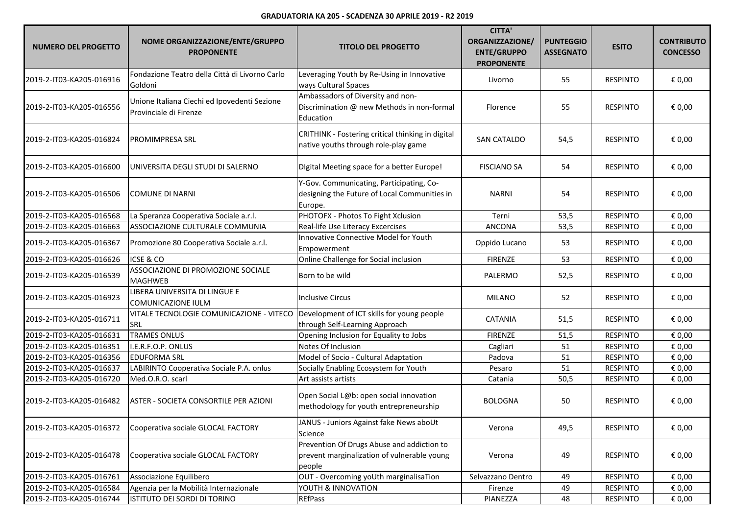| <b>NUMERO DEL PROGETTO</b> | NOME ORGANIZZAZIONE/ENTE/GRUPPO<br><b>PROPONENTE</b>                   | <b>TITOLO DEL PROGETTO</b>                                                                          | <b>CITTA'</b><br>ORGANIZZAZIONE/<br><b>ENTE/GRUPPO</b><br><b>PROPONENTE</b> | <b>PUNTEGGIO</b><br><b>ASSEGNATO</b> | <b>ESITO</b>    | <b>CONTRIBUTO</b><br><b>CONCESSO</b> |
|----------------------------|------------------------------------------------------------------------|-----------------------------------------------------------------------------------------------------|-----------------------------------------------------------------------------|--------------------------------------|-----------------|--------------------------------------|
| 2019-2-IT03-KA205-016916   | Fondazione Teatro della Città di Livorno Carlo<br>Goldoni              | Leveraging Youth by Re-Using in Innovative<br>ways Cultural Spaces                                  | Livorno                                                                     | 55                                   | <b>RESPINTO</b> | € 0,00                               |
| 2019-2-IT03-KA205-016556   | Unione Italiana Ciechi ed Ipovedenti Sezione<br>Provinciale di Firenze | Ambassadors of Diversity and non-<br>Discrimination @ new Methods in non-formal<br>Education        | Florence                                                                    | 55                                   | RESPINTO        | € 0,00                               |
| 2019-2-IT03-KA205-016824   | <b>PROMIMPRESA SRL</b>                                                 | CRITHINK - Fostering critical thinking in digital<br>native youths through role-play game           | <b>SAN CATALDO</b>                                                          | 54,5                                 | <b>RESPINTO</b> | € 0,00                               |
| 2019-2-IT03-KA205-016600   | UNIVERSITA DEGLI STUDI DI SALERNO                                      | Digital Meeting space for a better Europe!                                                          | <b>FISCIANO SA</b>                                                          | 54                                   | <b>RESPINTO</b> | € 0,00                               |
| 2019-2-IT03-KA205-016506   | <b>COMUNE DI NARNI</b>                                                 | Y-Gov. Communicating, Participating, Co-<br>designing the Future of Local Communities in<br>Europe. | <b>NARNI</b>                                                                | 54                                   | <b>RESPINTO</b> | € 0,00                               |
| 2019-2-IT03-KA205-016568   | La Speranza Cooperativa Sociale a.r.l.                                 | PHOTOFX - Photos To Fight Xclusion                                                                  | Terni                                                                       | 53,5                                 | <b>RESPINTO</b> | € 0,00                               |
| 2019-2-IT03-KA205-016663   | ASSOCIAZIONE CULTURALE COMMUNIA                                        | Real-life Use Literacy Excercises                                                                   | <b>ANCONA</b>                                                               | 53,5                                 | <b>RESPINTO</b> | € 0,00                               |
| 2019-2-IT03-KA205-016367   | Promozione 80 Cooperativa Sociale a.r.l.                               | Innovative Connective Model for Youth<br>Empowerment                                                | Oppido Lucano                                                               | 53                                   | <b>RESPINTO</b> | € 0,00                               |
| 2019-2-IT03-KA205-016626   | <b>ICSE &amp; CO</b>                                                   | Online Challenge for Social inclusion                                                               | <b>FIRENZE</b>                                                              | 53                                   | <b>RESPINTO</b> | € 0,00                               |
| 2019-2-IT03-KA205-016539   | ASSOCIAZIONE DI PROMOZIONE SOCIALE<br><b>MAGHWEB</b>                   | Born to be wild                                                                                     | PALERMO                                                                     | 52,5                                 | <b>RESPINTO</b> | € 0,00                               |
| 2019-2-IT03-KA205-016923   | LIBERA UNIVERSITA DI LINGUE E<br><b>COMUNICAZIONE IULM</b>             | <b>Inclusive Circus</b>                                                                             | <b>MILANO</b>                                                               | 52                                   | <b>RESPINTO</b> | € 0,00                               |
| 2019-2-IT03-KA205-016711   | VITALE TECNOLOGIE COMUNICAZIONE - VITECO<br>SRL                        | Development of ICT skills for young people<br>through Self-Learning Approach                        | <b>CATANIA</b>                                                              | 51,5                                 | <b>RESPINTO</b> | € 0,00                               |
| 2019-2-IT03-KA205-016631   | <b>TRAMES ONLUS</b>                                                    | Opening Inclusion for Equality to Jobs                                                              | FIRENZE                                                                     | 51,5                                 | <b>RESPINTO</b> | € 0,00                               |
| 2019-2-IT03-KA205-016351   | I.E.R.F.O.P. ONLUS                                                     | Notes Of Inclusion                                                                                  | Cagliari                                                                    | 51                                   | <b>RESPINTO</b> | € 0,00                               |
| 2019-2-IT03-KA205-016356   | <b>EDUFORMA SRL</b>                                                    | Model of Socio - Cultural Adaptation                                                                | Padova                                                                      | 51                                   | <b>RESPINTO</b> | € 0,00                               |
| 2019-2-IT03-KA205-016637   | LABIRINTO Cooperativa Sociale P.A. onlus                               | Socially Enabling Ecosystem for Youth                                                               | Pesaro                                                                      | 51                                   | <b>RESPINTO</b> | € 0,00                               |
| 2019-2-IT03-KA205-016720   | Med.O.R.O. scarl                                                       | Art assists artists                                                                                 | Catania                                                                     | 50,5                                 | <b>RESPINTO</b> | € 0,00                               |
| 2019-2-IT03-KA205-016482   | ASTER - SOCIETA CONSORTILE PER AZIONI                                  | Open Social L@b: open social innovation<br>methodology for youth entrepreneurship                   | <b>BOLOGNA</b>                                                              | 50                                   | <b>RESPINTO</b> | € 0,00                               |
| 2019-2-IT03-KA205-016372   | Cooperativa sociale GLOCAL FACTORY                                     | JANUS - Juniors Against fake News aboUt<br>Science                                                  | Verona                                                                      | 49,5                                 | <b>RESPINTO</b> | € 0,00                               |
| 2019-2-IT03-KA205-016478   | Cooperativa sociale GLOCAL FACTORY                                     | Prevention Of Drugs Abuse and addiction to<br>prevent marginalization of vulnerable young<br>people | Verona                                                                      | 49                                   | <b>RESPINTO</b> | € 0,00                               |
| 2019-2-IT03-KA205-016761   | Associazione Equilibero                                                | OUT - Overcoming yoUth marginalisaTion                                                              | Selvazzano Dentro                                                           | 49                                   | <b>RESPINTO</b> | € 0,00                               |
| 2019-2-IT03-KA205-016584   | Agenzia per la Mobilità Internazionale                                 | YOUTH & INNOVATION                                                                                  | Firenze                                                                     | 49                                   | <b>RESPINTO</b> | € 0,00                               |
| 2019-2-IT03-KA205-016744   | ISTITUTO DEI SORDI DI TORINO                                           | <b>REfPass</b>                                                                                      | PIANEZZA                                                                    | 48                                   | <b>RESPINTO</b> | € 0,00                               |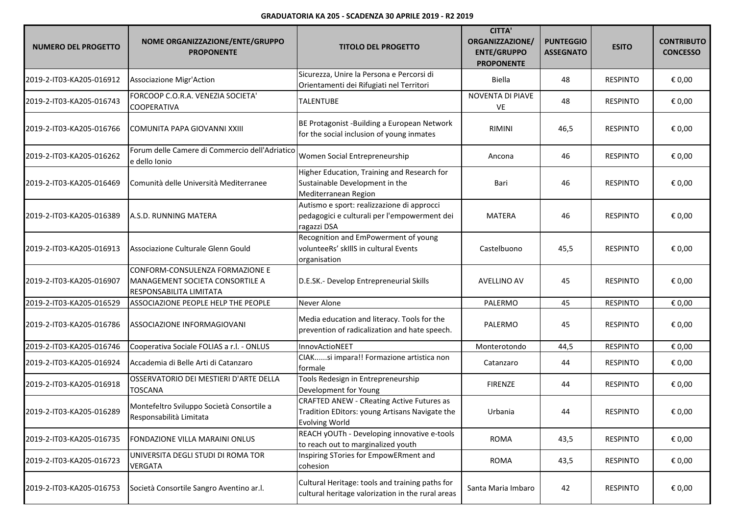| <b>NUMERO DEL PROGETTO</b> | NOME ORGANIZZAZIONE/ENTE/GRUPPO<br><b>PROPONENTE</b>                                          | <b>TITOLO DEL PROGETTO</b>                                                                                                  | <b>CITTA'</b><br>ORGANIZZAZIONE/<br><b>ENTE/GRUPPO</b><br><b>PROPONENTE</b> | <b>PUNTEGGIO</b><br><b>ASSEGNATO</b> | <b>ESITO</b>    | <b>CONTRIBUTO</b><br><b>CONCESSO</b> |
|----------------------------|-----------------------------------------------------------------------------------------------|-----------------------------------------------------------------------------------------------------------------------------|-----------------------------------------------------------------------------|--------------------------------------|-----------------|--------------------------------------|
| 2019-2-IT03-KA205-016912   | <b>Associazione Migr'Action</b>                                                               | Sicurezza, Unire la Persona e Percorsi di<br>Orientamenti dei Rifugiati nel Territori                                       | Biella                                                                      | 48                                   | <b>RESPINTO</b> | € 0,00                               |
| 2019-2-IT03-KA205-016743   | FORCOOP C.O.R.A. VENEZIA SOCIETA'<br><b>COOPERATIVA</b>                                       | <b>TALENTUBE</b>                                                                                                            | NOVENTA DI PIAVE<br>VE                                                      | 48                                   | <b>RESPINTO</b> | € 0,00                               |
| 2019-2-IT03-KA205-016766   | COMUNITA PAPA GIOVANNI XXIII                                                                  | BE Protagonist -Building a European Network<br>for the social inclusion of young inmates                                    | RIMINI                                                                      | 46,5                                 | <b>RESPINTO</b> | € 0,00                               |
| 2019-2-IT03-KA205-016262   | Forum delle Camere di Commercio dell'Adriatico<br>e dello Ionio                               | Women Social Entrepreneurship                                                                                               | Ancona                                                                      | 46                                   | <b>RESPINTO</b> | € 0,00                               |
| 2019-2-IT03-KA205-016469   | Comunità delle Università Mediterranee                                                        | Higher Education, Training and Research for<br>Sustainable Development in the<br>Mediterranean Region                       | Bari                                                                        | 46                                   | <b>RESPINTO</b> | € 0,00                               |
| 2019-2-IT03-KA205-016389   | A.S.D. RUNNING MATERA                                                                         | Autismo e sport: realizzazione di approcci<br>pedagogici e culturali per l'empowerment dei<br>ragazzi DSA                   | MATERA                                                                      | 46                                   | <b>RESPINTO</b> | € 0,00                               |
| 2019-2-IT03-KA205-016913   | Associazione Culturale Glenn Gould                                                            | Recognition and EmPowerment of young<br>volunteeRs' skillS in cultural Events<br>organisation                               | Castelbuono                                                                 | 45,5                                 | <b>RESPINTO</b> | € 0,00                               |
| 2019-2-IT03-KA205-016907   | CONFORM-CONSULENZA FORMAZIONE E<br>MANAGEMENT SOCIETA CONSORTILE A<br>RESPONSABILITA LIMITATA | D.E.SK.- Develop Entrepreneurial Skills                                                                                     | <b>AVELLINO AV</b>                                                          | 45                                   | <b>RESPINTO</b> | € 0,00                               |
| 2019-2-IT03-KA205-016529   | ASSOCIAZIONE PEOPLE HELP THE PEOPLE                                                           | Never Alone                                                                                                                 | PALERMO                                                                     | 45                                   | <b>RESPINTO</b> | € 0,00                               |
| 2019-2-IT03-KA205-016786   | <b>ASSOCIAZIONE INFORMAGIOVANI</b>                                                            | Media education and literacy. Tools for the<br>prevention of radicalization and hate speech.                                | PALERMO                                                                     | 45                                   | <b>RESPINTO</b> | € 0,00                               |
| 2019-2-IT03-KA205-016746   | Cooperativa Sociale FOLIAS a r.l. - ONLUS                                                     | InnovActioNEET                                                                                                              | Monterotondo                                                                | 44,5                                 | <b>RESPINTO</b> | € 0,00                               |
| 2019-2-IT03-KA205-016924   | Accademia di Belle Arti di Catanzaro                                                          | CIAKsi impara!! Formazione artistica non<br>formale                                                                         | Catanzaro                                                                   | 44                                   | <b>RESPINTO</b> | € 0,00                               |
| 2019-2-IT03-KA205-016918   | OSSERVATORIO DEI MESTIERI D'ARTE DELLA<br>TOSCANA                                             | Tools Redesign in Entrepreneurship<br>Development for Young                                                                 | <b>FIRENZE</b>                                                              | 44                                   | <b>RESPINTO</b> | € 0,00                               |
| 2019-2-IT03-KA205-016289   | Montefeltro Sviluppo Società Consortile a<br>Responsabilità Limitata                          | <b>CRAFTED ANEW - CReating Active Futures as</b><br>Tradition EDitors: young Artisans Navigate the<br><b>Evolving World</b> | Urbania                                                                     | 44                                   | <b>RESPINTO</b> | € 0,00                               |
| 2019-2-IT03-KA205-016735   | FONDAZIONE VILLA MARAINI ONLUS                                                                | REACH yOUTh - Developing innovative e-tools<br>to reach out to marginalized youth                                           | <b>ROMA</b>                                                                 | 43,5                                 | <b>RESPINTO</b> | € 0,00                               |
| 2019-2-IT03-KA205-016723   | UNIVERSITA DEGLI STUDI DI ROMA TOR<br><b>VERGATA</b>                                          | Inspiring STories for EmpowERment and<br>cohesion                                                                           | <b>ROMA</b>                                                                 | 43,5                                 | <b>RESPINTO</b> | € 0,00                               |
| 2019-2-IT03-KA205-016753   | Società Consortile Sangro Aventino ar.l.                                                      | Cultural Heritage: tools and training paths for<br>cultural heritage valorization in the rural areas                        | Santa Maria Imbaro                                                          | 42                                   | <b>RESPINTO</b> | € 0,00                               |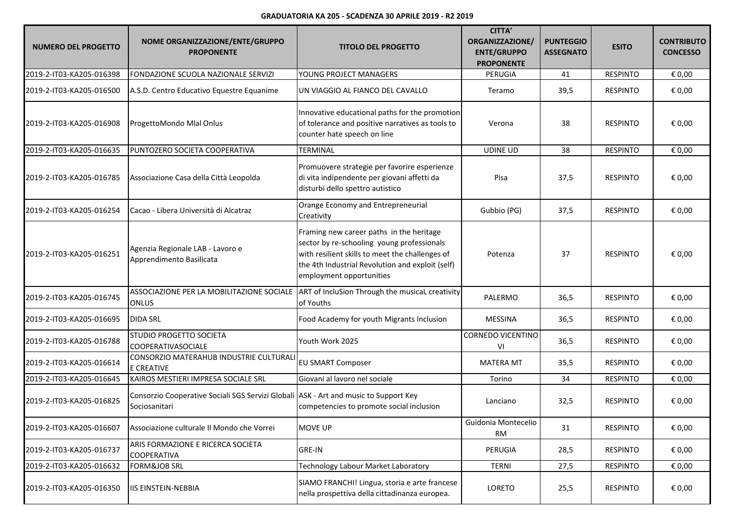| <b>NUMERO DEL PROGETTO</b> | NOME ORGANIZZAZIONE/ENTE/GRUPPO<br><b>PROPONENTE</b>                                                      | <b>TITOLO DEL PROGETTO</b>                                                                                                                                                                                                | <b>CITTA'</b><br>ORGANIZZAZIONE/<br><b>ENTE/GRUPPO</b><br><b>PROPONENTE</b> | <b>PUNTEGGIO</b><br><b>ASSEGNATO</b> | <b>ESITO</b>    | <b>CONTRIBUTO</b><br><b>CONCESSO</b> |
|----------------------------|-----------------------------------------------------------------------------------------------------------|---------------------------------------------------------------------------------------------------------------------------------------------------------------------------------------------------------------------------|-----------------------------------------------------------------------------|--------------------------------------|-----------------|--------------------------------------|
| 2019-2-IT03-KA205-016398   | FONDAZIONE SCUOLA NAZIONALE SERVIZI                                                                       | YOUNG PROJECT MANAGERS                                                                                                                                                                                                    | PERUGIA                                                                     | 41                                   | <b>RESPINTO</b> | € 0,00                               |
| 2019-2-IT03-KA205-016500   | A.S.D. Centro Educativo Equestre Equanime                                                                 | UN VIAGGIO AL FIANCO DEL CAVALLO                                                                                                                                                                                          | Teramo                                                                      | 39,5                                 | <b>RESPINTO</b> | € 0,00                               |
| 2019-2-IT03-KA205-016908   | ProgettoMondo Mlal Onlus                                                                                  | Innovative educational paths for the promotion<br>of tolerance and positive narratives as tools to<br>counter hate speech on line                                                                                         | Verona                                                                      | 38                                   | <b>RESPINTO</b> | € 0,00                               |
| 2019-2-IT03-KA205-016635   | PUNTOZERO SOCIETA COOPERATIVA                                                                             | <b>TERMINAL</b>                                                                                                                                                                                                           | <b>UDINE UD</b>                                                             | 38                                   | <b>RESPINTO</b> | € 0,00                               |
| 2019-2-IT03-KA205-016785   | Associazione Casa della Città Leopolda                                                                    | Promuovere strategie per favorire esperienze<br>di vita indipendente per giovani affetti da<br>disturbi dello spettro autistico                                                                                           | Pisa                                                                        | 37,5                                 | <b>RESPINTO</b> | € 0,00                               |
| 2019-2-IT03-KA205-016254   | Cacao - Libera Università di Alcatraz                                                                     | Orange Economy and Entrepreneurial<br>Creativity                                                                                                                                                                          | Gubbio (PG)                                                                 | 37,5                                 | <b>RESPINTO</b> | € 0,00                               |
| 2019-2-IT03-KA205-016251   | Agenzia Regionale LAB - Lavoro e<br>Apprendimento Basilicata                                              | Framing new career paths in the heritage<br>sector by re-schooling young professionals<br>with resilient skills to meet the challenges of<br>the 4th Industrial Revolution and exploit (self)<br>employment opportunities | Potenza                                                                     | 37                                   | <b>RESPINTO</b> | € 0,00                               |
| 2019-2-IT03-KA205-016745   | ASSOCIAZIONE PER LA MOBILITAZIONE SOCIALE ART of IncluSion Through the musical creativity<br><b>ONLUS</b> | of Youths                                                                                                                                                                                                                 | PALERMO                                                                     | 36,5                                 | <b>RESPINTO</b> | € 0,00                               |
| 2019-2-IT03-KA205-016695   | <b>DIDA SRL</b>                                                                                           | Food Academy for youth Migrants Inclusion                                                                                                                                                                                 | MESSINA                                                                     | 36,5                                 | <b>RESPINTO</b> | € 0,00                               |
| 2019-2-IT03-KA205-016788   | STUDIO PROGETTO SOCIETA<br><b>COOPERATIVASOCIALE</b>                                                      | Youth Work 2025                                                                                                                                                                                                           | CORNEDO VICENTINO<br>VI                                                     | 36,5                                 | <b>RESPINTO</b> | € 0,00                               |
| 2019-2-IT03-KA205-016614   | CONSORZIO MATERAHUB INDUSTRIE CULTURALI<br>E CREATIVE                                                     | <b>EU SMART Composer</b>                                                                                                                                                                                                  | <b>MATERA MT</b>                                                            | 35,5                                 | <b>RESPINTO</b> | € 0,00                               |
| 2019-2-IT03-KA205-016645   | KAIROS MESTIERI IMPRESA SOCIALE SRL                                                                       | Giovani al lavoro nel sociale                                                                                                                                                                                             | Torino                                                                      | 34                                   | <b>RESPINTO</b> | € 0,00                               |
| 2019-2-IT03-KA205-016825   | Consorzio Cooperative Sociali SGS Servizi Globali ASK - Art and music to Support Key<br>Sociosanitari     | competencies to promote social inclusion                                                                                                                                                                                  | Lanciano                                                                    | 32,5                                 | <b>RESPINTO</b> | € 0,00                               |
| 2019-2-IT03-KA205-016607   | Associazione culturale Il Mondo che Vorrei                                                                | <b>MOVE UP</b>                                                                                                                                                                                                            | Guidonia Montecelio<br>RM                                                   | 31                                   | <b>RESPINTO</b> | € 0,00                               |
| 2019-2-IT03-KA205-016737   | ARIS FORMAZIONE E RICERCA SOCIETA<br><b>COOPERATIVA</b>                                                   | <b>GRE-IN</b>                                                                                                                                                                                                             | PERUGIA                                                                     | 28,5                                 | <b>RESPINTO</b> | € 0,00                               |
| 2019-2-IT03-KA205-016632   | <b>FORM&amp;JOB SRL</b>                                                                                   | Technology Labour Market Laboratory                                                                                                                                                                                       | <b>TERNI</b>                                                                | 27,5                                 | <b>RESPINTO</b> | € 0,00                               |
| 2019-2-IT03-KA205-016350   | <b>IIS EINSTEIN-NEBBIA</b>                                                                                | SIAMO FRANCHI! Lingua, storia e arte francese<br>nella prospettiva della cittadinanza europea.                                                                                                                            | LORETO                                                                      | 25,5                                 | <b>RESPINTO</b> | € 0,00                               |